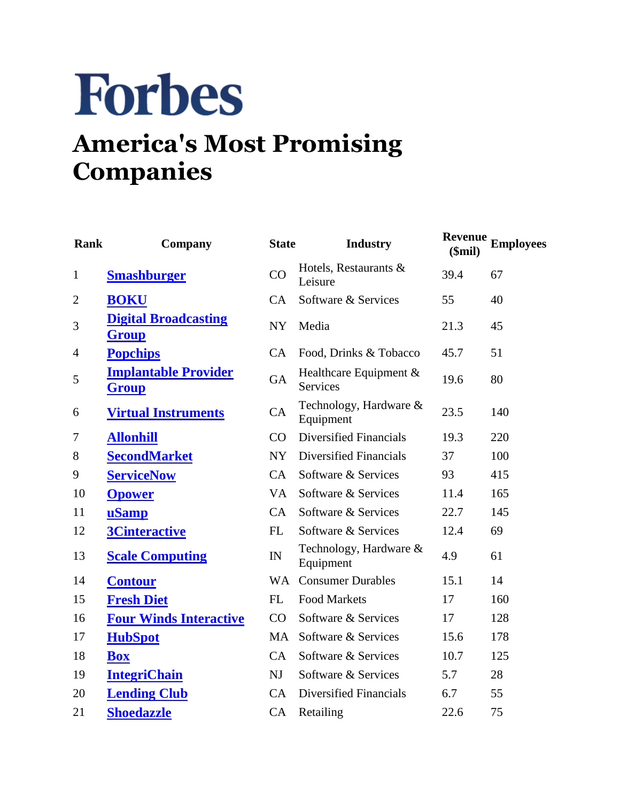## **Forbes**

## **America's Most Promising Companies**

| Rank           | Company                                     | <b>State</b>   | <b>Industry</b>                             | \$mil) | <b>Revenue</b> Employees |
|----------------|---------------------------------------------|----------------|---------------------------------------------|--------|--------------------------|
| $\mathbf{1}$   | <b>Smashburger</b>                          | CO             | Hotels, Restaurants &<br>Leisure            | 39.4   | 67                       |
| $\overline{2}$ | <b>BOKU</b>                                 | CA             | Software & Services                         | 55     | 40                       |
| 3              | <b>Digital Broadcasting</b><br><b>Group</b> | NY <sub></sub> | Media                                       | 21.3   | 45                       |
| 4              | <b>Popchips</b>                             | CA             | Food, Drinks & Tobacco                      | 45.7   | 51                       |
| 5              | <b>Implantable Provider</b><br><b>Group</b> | GA             | Healthcare Equipment $&$<br><b>Services</b> | 19.6   | 80                       |
| 6              | <b>Virtual Instruments</b>                  | CA             | Technology, Hardware &<br>Equipment         | 23.5   | 140                      |
| 7              | <b>Allonhill</b>                            | CO             | Diversified Financials                      | 19.3   | 220                      |
| 8              | <b>SecondMarket</b>                         | NY             | Diversified Financials                      | 37     | 100                      |
| 9              | <b>ServiceNow</b>                           | CA             | Software & Services                         | 93     | 415                      |
| 10             | <b>Opower</b>                               | <b>VA</b>      | Software & Services                         | 11.4   | 165                      |
| 11             | uSamp                                       | CA             | Software & Services                         | 22.7   | 145                      |
| 12             | <b>3Cinteractive</b>                        | FL             | Software & Services                         | 12.4   | 69                       |
| 13             | <b>Scale Computing</b>                      | IN             | Technology, Hardware &<br>Equipment         | 4.9    | 61                       |
| 14             | <b>Contour</b>                              | <b>WA</b>      | <b>Consumer Durables</b>                    | 15.1   | 14                       |
| 15             | <b>Fresh Diet</b>                           | FL             | <b>Food Markets</b>                         | 17     | 160                      |
| 16             | <b>Four Winds Interactive</b>               | CO             | Software & Services                         | 17     | 128                      |
| 17             | <b>HubSpot</b>                              | MA             | Software & Services                         | 15.6   | 178                      |
| 18             | <b>Box</b>                                  | CA             | Software & Services                         | 10.7   | 125                      |
| 19             | <b>IntegriChain</b>                         | N <sub>J</sub> | Software & Services                         | 5.7    | 28                       |
| 20             | <b>Lending Club</b>                         | CA             | Diversified Financials                      | 6.7    | 55                       |
| 21             | <b>Shoedazzle</b>                           | CA             | Retailing                                   | 22.6   | 75                       |